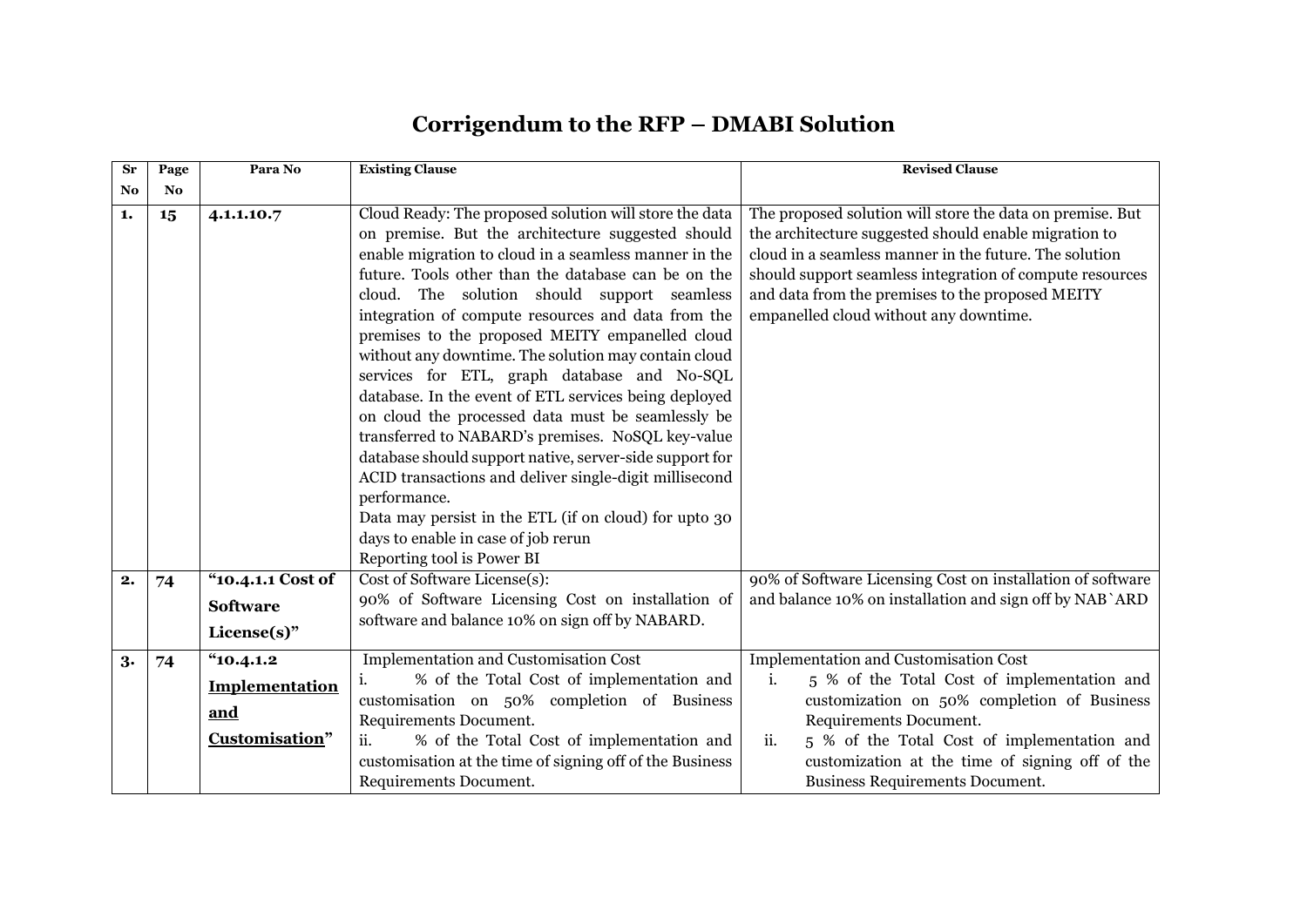## **Corrigendum to the RFP – DMABI Solution**

| $S_{r}$        | Page      | Para No                                           | <b>Existing Clause</b>                                                                                                                                                                                                                                                                                                                                                                                                                                                                                                                                                                                                                                                                                                                                                                                                                                                                                                           | <b>Revised Clause</b>                                                                                                                                                                                                                                                                                                                                                                                                                            |
|----------------|-----------|---------------------------------------------------|----------------------------------------------------------------------------------------------------------------------------------------------------------------------------------------------------------------------------------------------------------------------------------------------------------------------------------------------------------------------------------------------------------------------------------------------------------------------------------------------------------------------------------------------------------------------------------------------------------------------------------------------------------------------------------------------------------------------------------------------------------------------------------------------------------------------------------------------------------------------------------------------------------------------------------|--------------------------------------------------------------------------------------------------------------------------------------------------------------------------------------------------------------------------------------------------------------------------------------------------------------------------------------------------------------------------------------------------------------------------------------------------|
| N <sub>0</sub> | <b>No</b> |                                                   |                                                                                                                                                                                                                                                                                                                                                                                                                                                                                                                                                                                                                                                                                                                                                                                                                                                                                                                                  |                                                                                                                                                                                                                                                                                                                                                                                                                                                  |
| 1.             | 15        | 4.1.1.10.7                                        | Cloud Ready: The proposed solution will store the data<br>on premise. But the architecture suggested should<br>enable migration to cloud in a seamless manner in the<br>future. Tools other than the database can be on the<br>cloud. The solution should support seamless<br>integration of compute resources and data from the<br>premises to the proposed MEITY empanelled cloud<br>without any downtime. The solution may contain cloud<br>services for ETL, graph database and No-SQL<br>database. In the event of ETL services being deployed<br>on cloud the processed data must be seamlessly be<br>transferred to NABARD's premises. NoSQL key-value<br>database should support native, server-side support for<br>ACID transactions and deliver single-digit millisecond<br>performance.<br>Data may persist in the ETL (if on cloud) for upto 30<br>days to enable in case of job rerun<br>Reporting tool is Power BI | The proposed solution will store the data on premise. But<br>the architecture suggested should enable migration to<br>cloud in a seamless manner in the future. The solution<br>should support seamless integration of compute resources<br>and data from the premises to the proposed MEITY<br>empanelled cloud without any downtime.                                                                                                           |
| 2.             | 74        |                                                   |                                                                                                                                                                                                                                                                                                                                                                                                                                                                                                                                                                                                                                                                                                                                                                                                                                                                                                                                  |                                                                                                                                                                                                                                                                                                                                                                                                                                                  |
|                |           | <b>Software</b>                                   |                                                                                                                                                                                                                                                                                                                                                                                                                                                                                                                                                                                                                                                                                                                                                                                                                                                                                                                                  |                                                                                                                                                                                                                                                                                                                                                                                                                                                  |
|                |           | $License(s)$ "                                    |                                                                                                                                                                                                                                                                                                                                                                                                                                                                                                                                                                                                                                                                                                                                                                                                                                                                                                                                  |                                                                                                                                                                                                                                                                                                                                                                                                                                                  |
| 3.             | 74        | "10.4.1.2"                                        |                                                                                                                                                                                                                                                                                                                                                                                                                                                                                                                                                                                                                                                                                                                                                                                                                                                                                                                                  |                                                                                                                                                                                                                                                                                                                                                                                                                                                  |
|                |           | <b>Implementation</b>                             | i.                                                                                                                                                                                                                                                                                                                                                                                                                                                                                                                                                                                                                                                                                                                                                                                                                                                                                                                               |                                                                                                                                                                                                                                                                                                                                                                                                                                                  |
|                |           |                                                   |                                                                                                                                                                                                                                                                                                                                                                                                                                                                                                                                                                                                                                                                                                                                                                                                                                                                                                                                  |                                                                                                                                                                                                                                                                                                                                                                                                                                                  |
|                |           |                                                   |                                                                                                                                                                                                                                                                                                                                                                                                                                                                                                                                                                                                                                                                                                                                                                                                                                                                                                                                  |                                                                                                                                                                                                                                                                                                                                                                                                                                                  |
|                |           |                                                   |                                                                                                                                                                                                                                                                                                                                                                                                                                                                                                                                                                                                                                                                                                                                                                                                                                                                                                                                  |                                                                                                                                                                                                                                                                                                                                                                                                                                                  |
|                |           |                                                   |                                                                                                                                                                                                                                                                                                                                                                                                                                                                                                                                                                                                                                                                                                                                                                                                                                                                                                                                  |                                                                                                                                                                                                                                                                                                                                                                                                                                                  |
|                |           | "10.4.1.1 Cost of<br><u>and</u><br>Customisation" | Cost of Software License(s):<br>90% of Software Licensing Cost on installation of<br>software and balance 10% on sign off by NABARD.<br><b>Implementation and Customisation Cost</b><br>% of the Total Cost of implementation and<br>customisation on 50% completion of Business<br>Requirements Document.<br>ii.<br>% of the Total Cost of implementation and<br>customisation at the time of signing off of the Business<br>Requirements Document.                                                                                                                                                                                                                                                                                                                                                                                                                                                                             | 90% of Software Licensing Cost on installation of software<br>and balance 10% on installation and sign off by NAB `ARD<br>Implementation and Customisation Cost<br>5 % of the Total Cost of implementation and<br>i.<br>customization on 50% completion of Business<br>Requirements Document.<br>ii.<br>5 % of the Total Cost of implementation and<br>customization at the time of signing off of the<br><b>Business Requirements Document.</b> |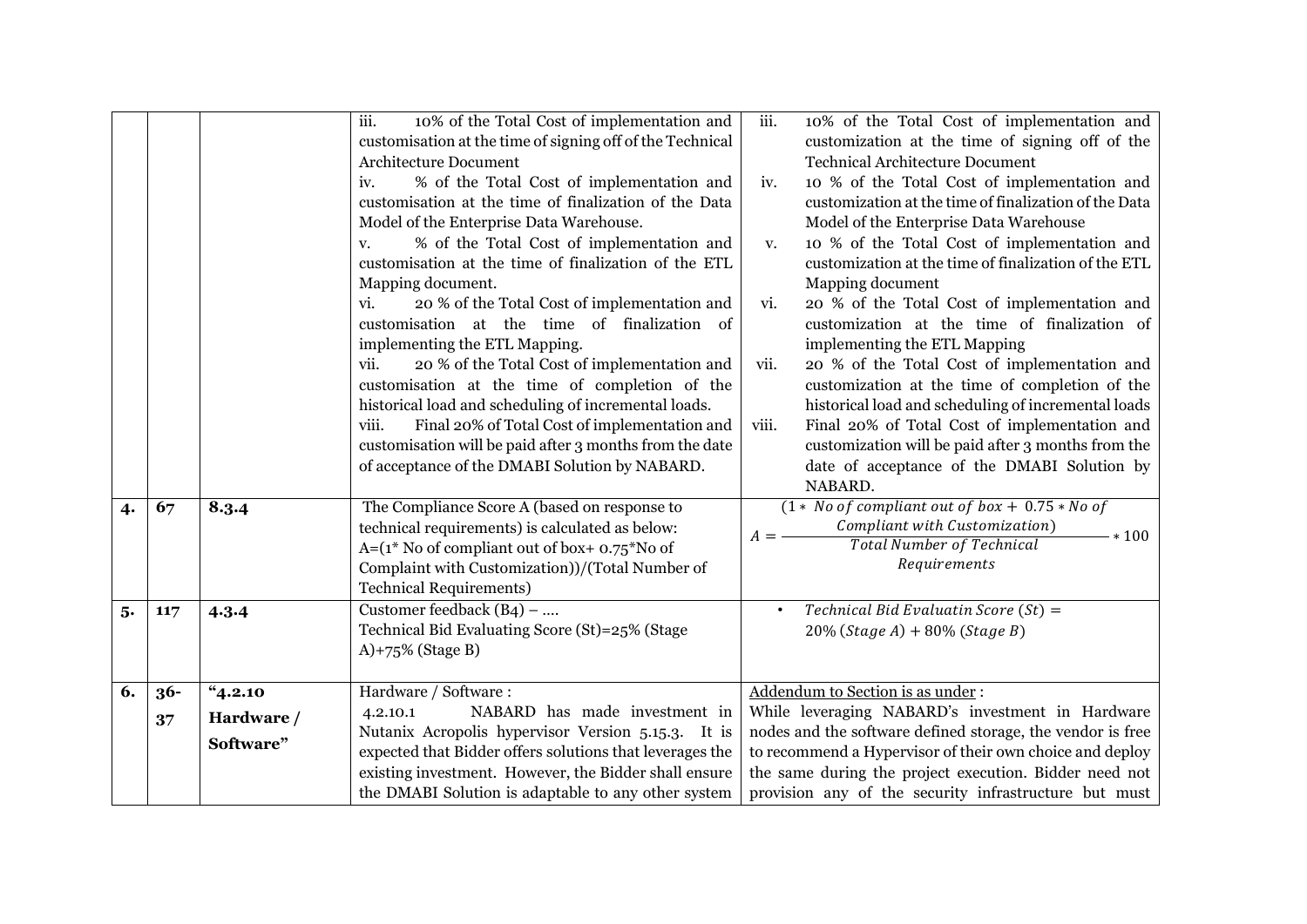|    |        |            | iii.<br>10% of the Total Cost of implementation and                                                               | iii.                                                       | 10% of the Total Cost of implementation and                                                         |
|----|--------|------------|-------------------------------------------------------------------------------------------------------------------|------------------------------------------------------------|-----------------------------------------------------------------------------------------------------|
|    |        |            | customisation at the time of signing off of the Technical<br>Architecture Document                                |                                                            | customization at the time of signing off of the<br><b>Technical Architecture Document</b>           |
|    |        |            | % of the Total Cost of implementation and<br>iv.                                                                  | iv.                                                        | 10 % of the Total Cost of implementation and                                                        |
|    |        |            | customisation at the time of finalization of the Data                                                             |                                                            | customization at the time of finalization of the Data                                               |
|    |        |            | Model of the Enterprise Data Warehouse.                                                                           |                                                            | Model of the Enterprise Data Warehouse                                                              |
|    |        |            | % of the Total Cost of implementation and<br>V.                                                                   | V.                                                         | 10 % of the Total Cost of implementation and                                                        |
|    |        |            | customisation at the time of finalization of the ETL                                                              |                                                            | customization at the time of finalization of the ETL                                                |
|    |        |            | Mapping document.                                                                                                 |                                                            | Mapping document                                                                                    |
|    |        |            | 20 % of the Total Cost of implementation and<br>vi.                                                               | vi.                                                        | 20 % of the Total Cost of implementation and                                                        |
|    |        |            | customisation at the time of finalization of                                                                      |                                                            | customization at the time of finalization of                                                        |
|    |        |            | implementing the ETL Mapping.                                                                                     |                                                            | implementing the ETL Mapping                                                                        |
|    |        |            | 20 % of the Total Cost of implementation and<br>vii.                                                              | vii.                                                       | 20 % of the Total Cost of implementation and                                                        |
|    |        |            | customisation at the time of completion of the                                                                    |                                                            | customization at the time of completion of the                                                      |
|    |        |            | historical load and scheduling of incremental loads.                                                              |                                                            | historical load and scheduling of incremental loads                                                 |
|    |        |            | Final 20% of Total Cost of implementation and<br>viii.<br>customisation will be paid after 3 months from the date | viii.                                                      | Final 20% of Total Cost of implementation and<br>customization will be paid after 3 months from the |
|    |        |            | of acceptance of the DMABI Solution by NABARD.                                                                    |                                                            | date of acceptance of the DMABI Solution by                                                         |
|    |        |            |                                                                                                                   |                                                            | NABARD.                                                                                             |
| 4. | 67     | 8.3.4      | The Compliance Score A (based on response to                                                                      |                                                            | $(1 * No of compliant out of box + 0.75 * No of$                                                    |
|    |        |            | technical requirements) is calculated as below:                                                                   |                                                            | Compliant with Customization)<br>$- * 100$                                                          |
|    |        |            | $A=(1^* N0 of compliant out of box+ 0.75*N0 of$                                                                   | $A = -$                                                    | <b>Total Number of Technical</b>                                                                    |
|    |        |            | Complaint with Customization))/(Total Number of                                                                   |                                                            | Requirements                                                                                        |
|    |        |            | <b>Technical Requirements)</b>                                                                                    |                                                            |                                                                                                     |
| 5. | 117    | 4.3.4      | Customer feedback $(B4)$ –                                                                                        | $\bullet$                                                  | Technical Bid Evaluatin Score $(St) =$                                                              |
|    |        |            | Technical Bid Evaluating Score (St)=25% (Stage                                                                    |                                                            | $20\%$ (Stage A) + 80% (Stage B)                                                                    |
|    |        |            | $A$ )+75% (Stage B)                                                                                               |                                                            |                                                                                                     |
| 6. | $36 -$ | "4.2.10"   | Hardware / Software:                                                                                              |                                                            | Addendum to Section is as under:                                                                    |
|    |        |            | NABARD has made investment in<br>4.2.10.1                                                                         |                                                            | While leveraging NABARD's investment in Hardware                                                    |
|    | 37     | Hardware / | Nutanix Acropolis hypervisor Version 5.15.3. It is                                                                | nodes and the software defined storage, the vendor is free |                                                                                                     |
|    |        | Software"  | expected that Bidder offers solutions that leverages the                                                          | to recommend a Hypervisor of their own choice and deploy   |                                                                                                     |
|    |        |            | existing investment. However, the Bidder shall ensure                                                             | the same during the project execution. Bidder need not     |                                                                                                     |
|    |        |            | the DMABI Solution is adaptable to any other system                                                               |                                                            | provision any of the security infrastructure but must                                               |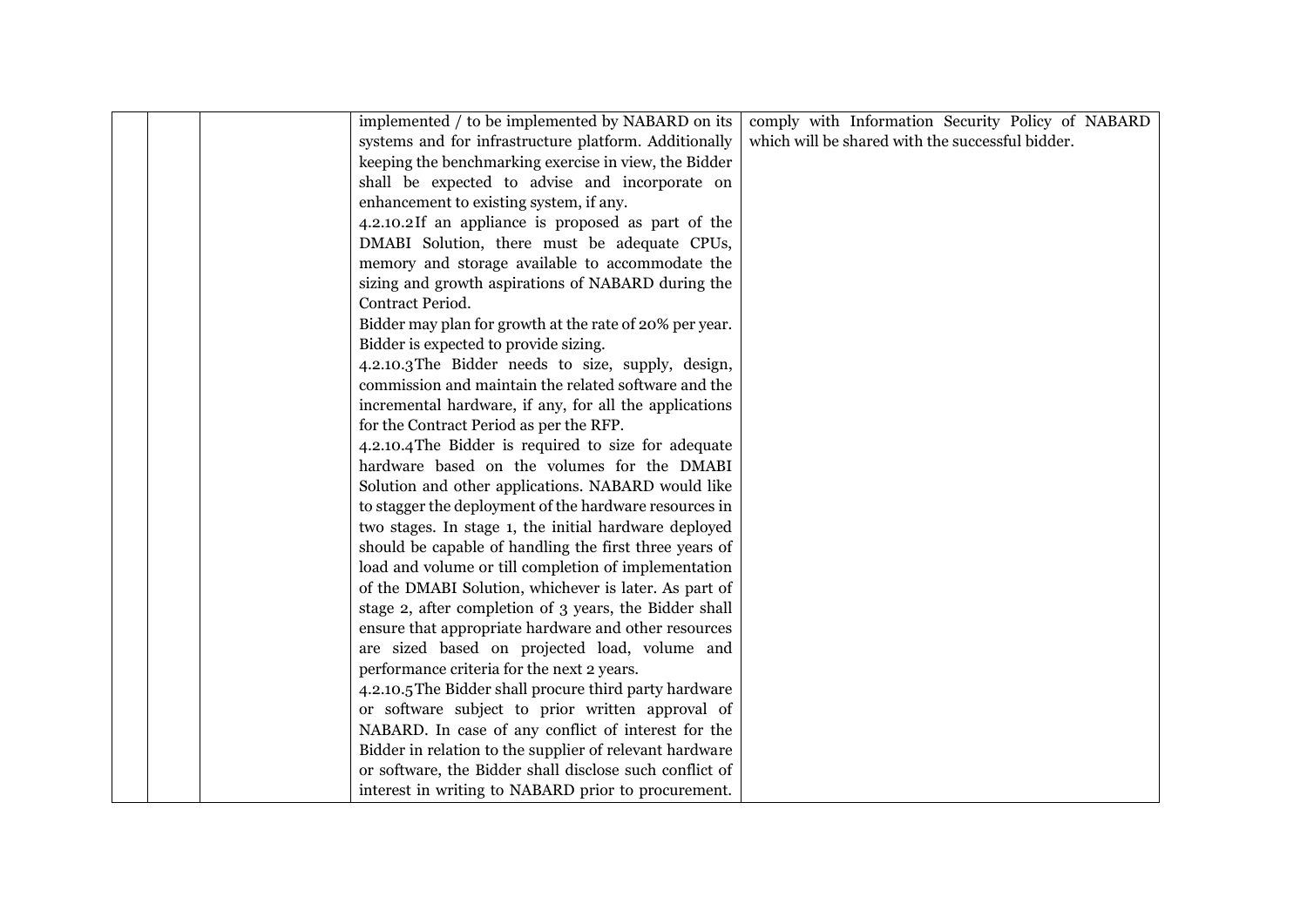|  | implemented / to be implemented by NABARD on its        | comply with Information Security Policy of NABARD |
|--|---------------------------------------------------------|---------------------------------------------------|
|  | systems and for infrastructure platform. Additionally   | which will be shared with the successful bidder.  |
|  | keeping the benchmarking exercise in view, the Bidder   |                                                   |
|  | shall be expected to advise and incorporate on          |                                                   |
|  | enhancement to existing system, if any.                 |                                                   |
|  | 4.2.10.2If an appliance is proposed as part of the      |                                                   |
|  | DMABI Solution, there must be adequate CPUs,            |                                                   |
|  | memory and storage available to accommodate the         |                                                   |
|  | sizing and growth aspirations of NABARD during the      |                                                   |
|  | Contract Period.                                        |                                                   |
|  | Bidder may plan for growth at the rate of 20% per year. |                                                   |
|  | Bidder is expected to provide sizing.                   |                                                   |
|  | 4.2.10.3 The Bidder needs to size, supply, design,      |                                                   |
|  | commission and maintain the related software and the    |                                                   |
|  | incremental hardware, if any, for all the applications  |                                                   |
|  | for the Contract Period as per the RFP.                 |                                                   |
|  | 4.2.10.4 The Bidder is required to size for adequate    |                                                   |
|  | hardware based on the volumes for the DMABI             |                                                   |
|  | Solution and other applications. NABARD would like      |                                                   |
|  | to stagger the deployment of the hardware resources in  |                                                   |
|  | two stages. In stage 1, the initial hardware deployed   |                                                   |
|  | should be capable of handling the first three years of  |                                                   |
|  | load and volume or till completion of implementation    |                                                   |
|  | of the DMABI Solution, whichever is later. As part of   |                                                   |
|  | stage 2, after completion of 3 years, the Bidder shall  |                                                   |
|  | ensure that appropriate hardware and other resources    |                                                   |
|  | are sized based on projected load, volume and           |                                                   |
|  | performance criteria for the next 2 years.              |                                                   |
|  | 4.2.10.5 The Bidder shall procure third party hardware  |                                                   |
|  | or software subject to prior written approval of        |                                                   |
|  | NABARD. In case of any conflict of interest for the     |                                                   |
|  | Bidder in relation to the supplier of relevant hardware |                                                   |
|  | or software, the Bidder shall disclose such conflict of |                                                   |
|  | interest in writing to NABARD prior to procurement.     |                                                   |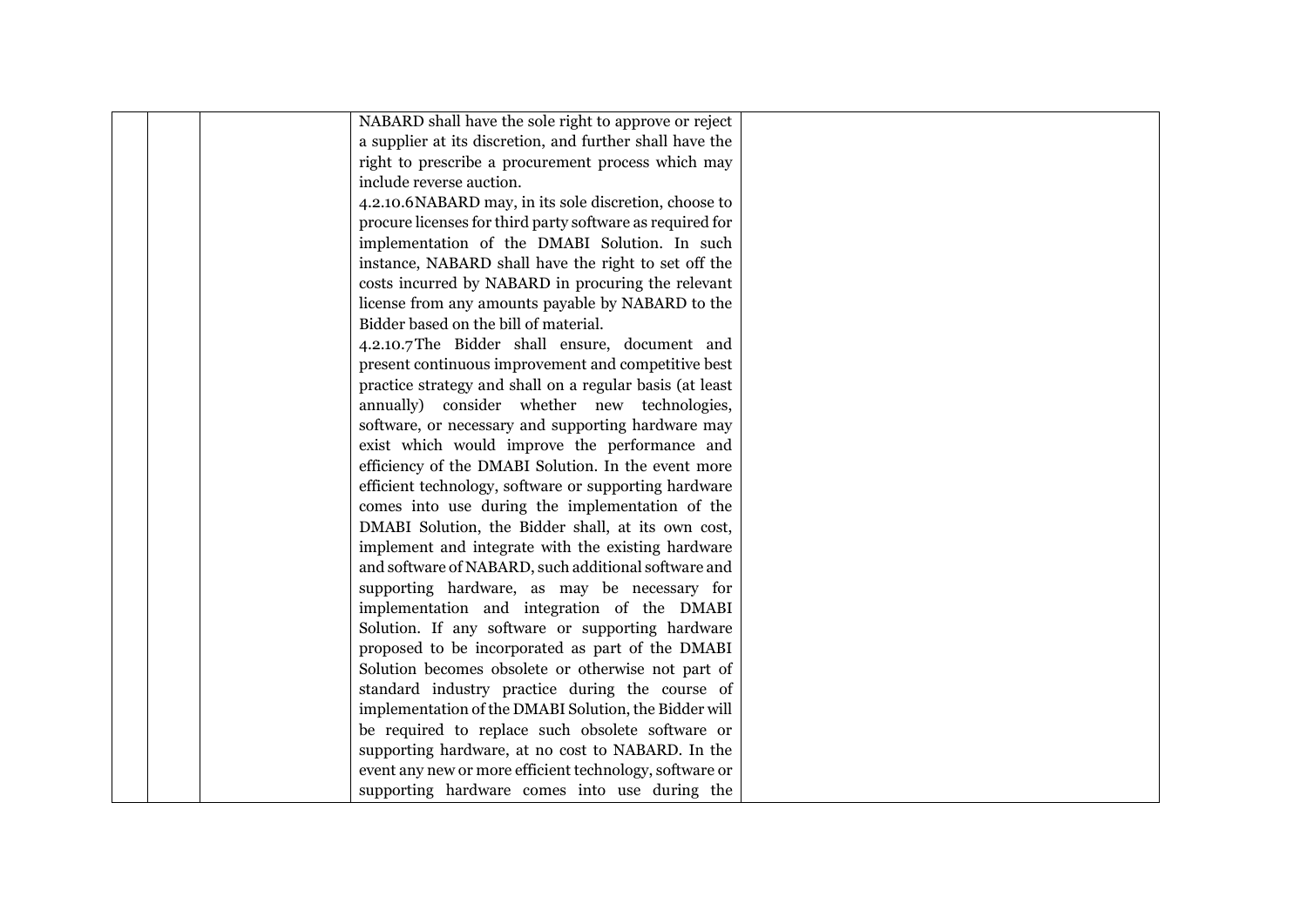|  | NABARD shall have the sole right to approve or reject     |  |
|--|-----------------------------------------------------------|--|
|  | a supplier at its discretion, and further shall have the  |  |
|  | right to prescribe a procurement process which may        |  |
|  | include reverse auction.                                  |  |
|  | 4.2.10.6 NABARD may, in its sole discretion, choose to    |  |
|  | procure licenses for third party software as required for |  |
|  | implementation of the DMABI Solution. In such             |  |
|  | instance, NABARD shall have the right to set off the      |  |
|  | costs incurred by NABARD in procuring the relevant        |  |
|  | license from any amounts payable by NABARD to the         |  |
|  | Bidder based on the bill of material.                     |  |
|  | 4.2.10.7The Bidder shall ensure, document and             |  |
|  | present continuous improvement and competitive best       |  |
|  | practice strategy and shall on a regular basis (at least  |  |
|  | annually) consider whether new technologies,              |  |
|  | software, or necessary and supporting hardware may        |  |
|  | exist which would improve the performance and             |  |
|  | efficiency of the DMABI Solution. In the event more       |  |
|  | efficient technology, software or supporting hardware     |  |
|  | comes into use during the implementation of the           |  |
|  | DMABI Solution, the Bidder shall, at its own cost,        |  |
|  | implement and integrate with the existing hardware        |  |
|  | and software of NABARD, such additional software and      |  |
|  | supporting hardware, as may be necessary for              |  |
|  | implementation and integration of the DMABI               |  |
|  | Solution. If any software or supporting hardware          |  |
|  | proposed to be incorporated as part of the DMABI          |  |
|  | Solution becomes obsolete or otherwise not part of        |  |
|  | standard industry practice during the course of           |  |
|  | implementation of the DMABI Solution, the Bidder will     |  |
|  | be required to replace such obsolete software or          |  |
|  | supporting hardware, at no cost to NABARD. In the         |  |
|  | event any new or more efficient technology, software or   |  |
|  | supporting hardware comes into use during the             |  |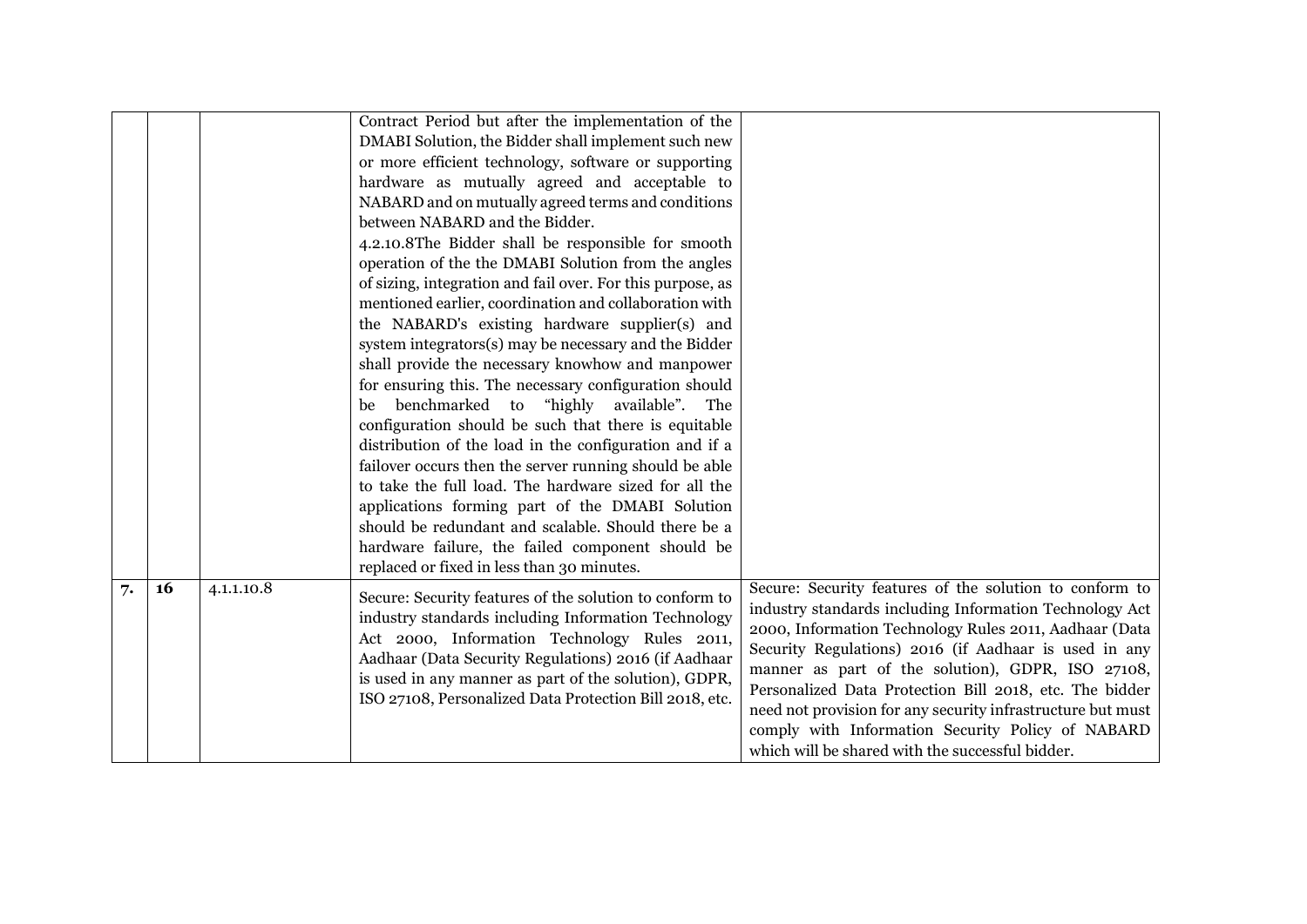|    |    |            | Contract Period but after the implementation of the<br>DMABI Solution, the Bidder shall implement such new<br>or more efficient technology, software or supporting<br>hardware as mutually agreed and acceptable to<br>NABARD and on mutually agreed terms and conditions<br>between NABARD and the Bidder.<br>4.2.10.8The Bidder shall be responsible for smooth<br>operation of the the DMABI Solution from the angles<br>of sizing, integration and fail over. For this purpose, as<br>mentioned earlier, coordination and collaboration with<br>the NABARD's existing hardware supplier(s) and<br>system integrators(s) may be necessary and the Bidder<br>shall provide the necessary knowhow and manpower<br>for ensuring this. The necessary configuration should<br>benchmarked to "highly available". The<br>be<br>configuration should be such that there is equitable<br>distribution of the load in the configuration and if a<br>failover occurs then the server running should be able<br>to take the full load. The hardware sized for all the<br>applications forming part of the DMABI Solution<br>should be redundant and scalable. Should there be a |                                                                                                                                                                                                                                                                                                                                                                                                                                                                                                                               |
|----|----|------------|-------------------------------------------------------------------------------------------------------------------------------------------------------------------------------------------------------------------------------------------------------------------------------------------------------------------------------------------------------------------------------------------------------------------------------------------------------------------------------------------------------------------------------------------------------------------------------------------------------------------------------------------------------------------------------------------------------------------------------------------------------------------------------------------------------------------------------------------------------------------------------------------------------------------------------------------------------------------------------------------------------------------------------------------------------------------------------------------------------------------------------------------------------------------------|-------------------------------------------------------------------------------------------------------------------------------------------------------------------------------------------------------------------------------------------------------------------------------------------------------------------------------------------------------------------------------------------------------------------------------------------------------------------------------------------------------------------------------|
|    |    |            | hardware failure, the failed component should be<br>replaced or fixed in less than 30 minutes.                                                                                                                                                                                                                                                                                                                                                                                                                                                                                                                                                                                                                                                                                                                                                                                                                                                                                                                                                                                                                                                                          |                                                                                                                                                                                                                                                                                                                                                                                                                                                                                                                               |
| 7. | 16 | 4.1.1.10.8 | Secure: Security features of the solution to conform to<br>industry standards including Information Technology<br>Act 2000, Information Technology Rules 2011,<br>Aadhaar (Data Security Regulations) 2016 (if Aadhaar<br>is used in any manner as part of the solution), GDPR,<br>ISO 27108, Personalized Data Protection Bill 2018, etc.                                                                                                                                                                                                                                                                                                                                                                                                                                                                                                                                                                                                                                                                                                                                                                                                                              | Secure: Security features of the solution to conform to<br>industry standards including Information Technology Act<br>2000, Information Technology Rules 2011, Aadhaar (Data<br>Security Regulations) 2016 (if Aadhaar is used in any<br>manner as part of the solution), GDPR, ISO 27108,<br>Personalized Data Protection Bill 2018, etc. The bidder<br>need not provision for any security infrastructure but must<br>comply with Information Security Policy of NABARD<br>which will be shared with the successful bidder. |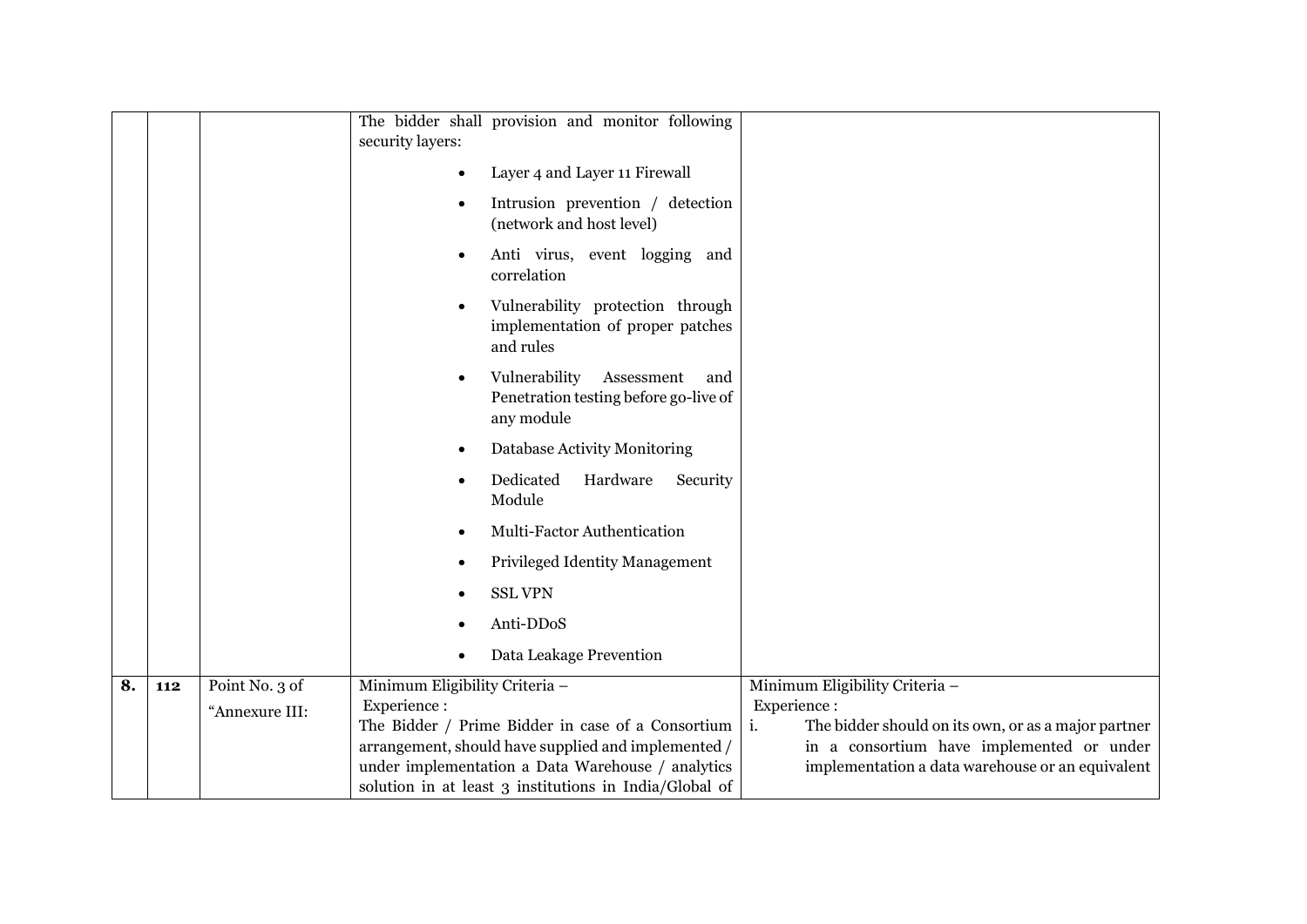|    |     |                | The bidder shall provision and monitor following<br>security layers:                      |                                                           |
|----|-----|----------------|-------------------------------------------------------------------------------------------|-----------------------------------------------------------|
|    |     |                | Layer 4 and Layer 11 Firewall                                                             |                                                           |
|    |     |                | Intrusion prevention / detection<br>(network and host level)                              |                                                           |
|    |     |                | Anti virus, event logging and<br>correlation                                              |                                                           |
|    |     |                | Vulnerability protection through<br>implementation of proper patches<br>and rules         |                                                           |
|    |     |                | Vulnerability<br>Assessment<br>and<br>Penetration testing before go-live of<br>any module |                                                           |
|    |     |                | Database Activity Monitoring                                                              |                                                           |
|    |     |                | Dedicated<br>Hardware<br>Security<br>Module                                               |                                                           |
|    |     |                | Multi-Factor Authentication                                                               |                                                           |
|    |     |                | <b>Privileged Identity Management</b>                                                     |                                                           |
|    |     |                | <b>SSL VPN</b>                                                                            |                                                           |
|    |     |                | Anti-DDoS                                                                                 |                                                           |
|    |     |                | Data Leakage Prevention                                                                   |                                                           |
| 8. | 112 | Point No. 3 of | Minimum Eligibility Criteria -                                                            | Minimum Eligibility Criteria -                            |
|    |     | "Annexure III: | Experience:                                                                               | Experience:                                               |
|    |     |                | The Bidder / Prime Bidder in case of a Consortium                                         | i.<br>The bidder should on its own, or as a major partner |
|    |     |                | arrangement, should have supplied and implemented /                                       | in a consortium have implemented or under                 |
|    |     |                | under implementation a Data Warehouse / analytics                                         | implementation a data warehouse or an equivalent          |
|    |     |                | solution in at least 3 institutions in India/Global of                                    |                                                           |